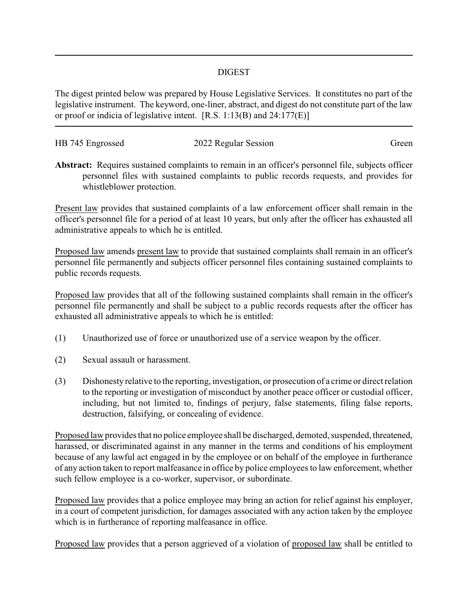## DIGEST

The digest printed below was prepared by House Legislative Services. It constitutes no part of the legislative instrument. The keyword, one-liner, abstract, and digest do not constitute part of the law or proof or indicia of legislative intent. [R.S. 1:13(B) and 24:177(E)]

| HB 745 Engrossed | 2022 Regular Session | Green |
|------------------|----------------------|-------|
|                  |                      |       |

**Abstract:** Requires sustained complaints to remain in an officer's personnel file, subjects officer personnel files with sustained complaints to public records requests, and provides for whistleblower protection.

Present law provides that sustained complaints of a law enforcement officer shall remain in the officer's personnel file for a period of at least 10 years, but only after the officer has exhausted all administrative appeals to which he is entitled.

Proposed law amends present law to provide that sustained complaints shall remain in an officer's personnel file permanently and subjects officer personnel files containing sustained complaints to public records requests.

Proposed law provides that all of the following sustained complaints shall remain in the officer's personnel file permanently and shall be subject to a public records requests after the officer has exhausted all administrative appeals to which he is entitled:

- (1) Unauthorized use of force or unauthorized use of a service weapon by the officer.
- (2) Sexual assault or harassment.
- (3) Dishonesty relative to the reporting, investigation, or prosecution of a crime or direct relation to the reporting or investigation of misconduct by another peace officer or custodial officer, including, but not limited to, findings of perjury, false statements, filing false reports, destruction, falsifying, or concealing of evidence.

Proposed law provides that no police employee shall be discharged, demoted, suspended, threatened, harassed, or discriminated against in any manner in the terms and conditions of his employment because of any lawful act engaged in by the employee or on behalf of the employee in furtherance of any action taken to report malfeasance in office by police employees to law enforcement, whether such fellow employee is a co-worker, supervisor, or subordinate.

Proposed law provides that a police employee may bring an action for relief against his employer, in a court of competent jurisdiction, for damages associated with any action taken by the employee which is in furtherance of reporting malfeasance in office.

Proposed law provides that a person aggrieved of a violation of proposed law shall be entitled to